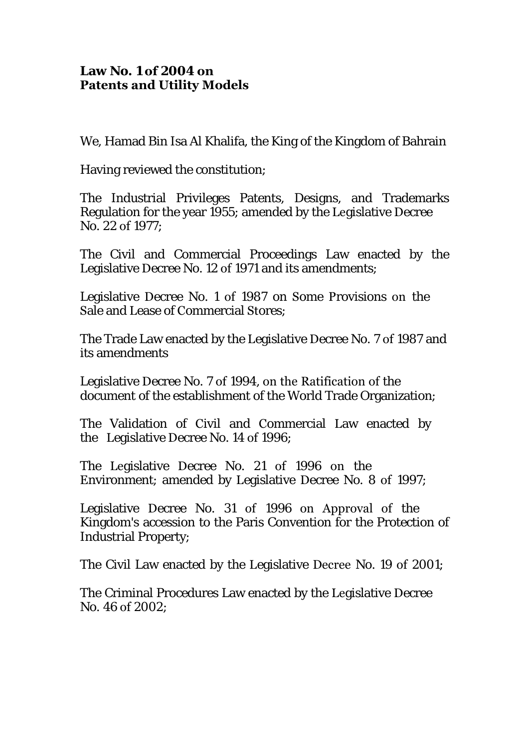## **Law No. 1 of 2004 on Patents and Utility Models**

We, Hamad Bin Isa Al Khalifa, the King of the Kingdom of Bahrain

Having reviewed the constitution;

The Industrial Privileges Patents, Designs, and Trademarks Regulation for the year 1955; amended by the Legislative Decree No. 22 of 1977;

The Civil and Commercial Proceedings Law enacted by the Legislative Decree No. 12 of 1971 and its amendments;

Legislative Decree No. 1 of 1987 on Some Provisions on the Sale and Lease of Commercial Stores;

The Trade Law enacted by the Legislative Decree No. 7 of 1987 and its amendments

Legislative Decree No. 7 of 1994, on the Ratification of the document of the establishment of the World Trade Organization;

The Validation of Civil and Commercial Law enacted by the Legislative Decree No. 14 of 1996;

The Legislative Decree No. 21 of 1996 on the Environment; amended by Legislative Decree No. 8 of 1997;

Legislative Decree No. 31 of 1996 on Approval of the Kingdom's accession to the Paris Convention for the Protection of Industrial Property;

The Civil Law enacted by the Legislative Decree No. 19 of 2001;

The Criminal Procedures Law enacted by the Legislative Decree No. 46 of 2002;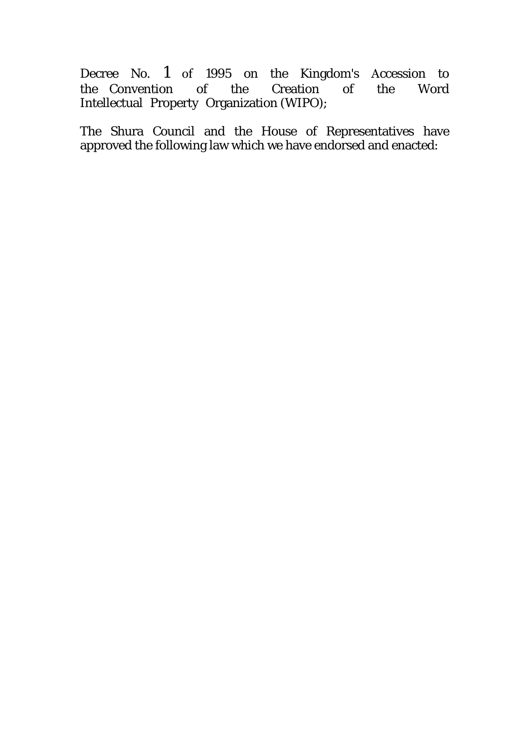Decree No. 1 of 1995 on the Kingdom's Accession to the Convention of the Creation of the Word Intellectual Property Organization (WIPO);

The Shura Council and the House of Representatives have approved the following law which we have endorsed and enacted: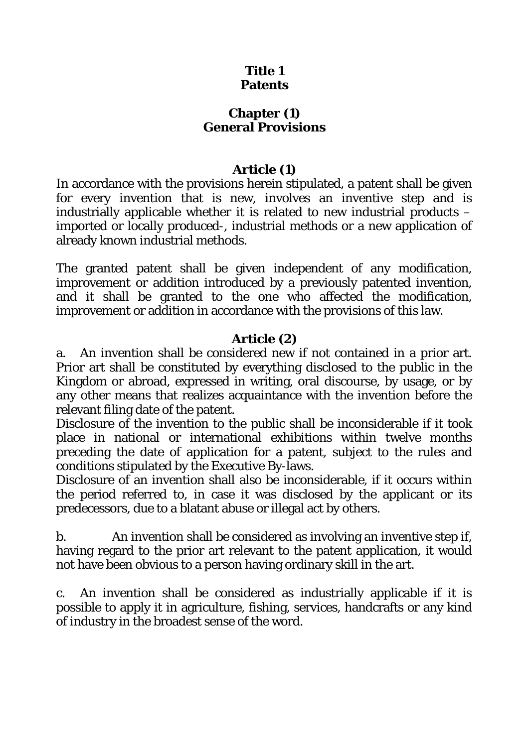# **Title 1 Patents**

# **Chapter (1) General Provisions**

# **Article (1)**

In accordance with the provisions herein stipulated, a patent shall be given for every invention that is new, involves an inventive step and is industrially applicable whether it is related to new industrial products – imported or locally produced-, industrial methods or a new application of already known industrial methods.

The granted patent shall be given independent of any modification, improvement or addition introduced by a previously patented invention, and it shall be granted to the one who affected the modification, improvement or addition in accordance with the provisions of this law.

# **Article (2)**

a. An invention shall be considered new if not contained in a prior art. Prior art shall be constituted by everything disclosed to the public in the Kingdom or abroad, expressed in writing, oral discourse, by usage, or by any other means that realizes acquaintance with the invention before the relevant filing date of the patent.

Disclosure of the invention to the public shall be inconsiderable if it took place in national or international exhibitions within twelve months preceding the date of application for a patent, subject to the rules and conditions stipulated by the Executive By-laws.

Disclosure of an invention shall also be inconsiderable, if it occurs within the period referred to, in case it was disclosed by the applicant or its predecessors, due to a blatant abuse or illegal act by others.

b. An invention shall be considered as involving an inventive step if, having regard to the prior art relevant to the patent application, it would not have been obvious to a person having ordinary skill in the art.

c. An invention shall be considered as industrially applicable if it is possible to apply it in agriculture, fishing, services, handcrafts or any kind of industry in the broadest sense of the word.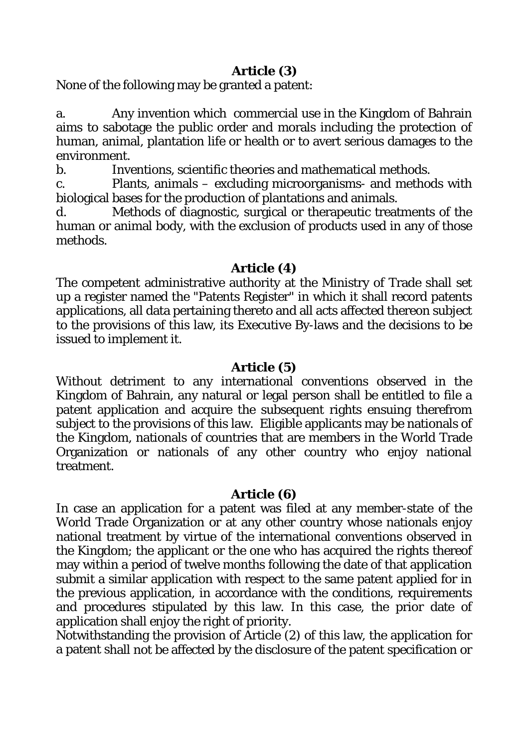# **Article (3)**

None of the following may be granted a patent:

a. Any invention which commercial use in the Kingdom of Bahrain aims to sabotage the public order and morals including the protection of human, animal, plantation life or health or to avert serious damages to the environment.

b. Inventions, scientific theories and mathematical methods.

c. Plants, animals – excluding microorganisms- and methods with biological bases for the production of plantations and animals.

Methods of diagnostic, surgical or therapeutic treatments of the human or animal body, with the exclusion of products used in any of those methods.

## **Article (4)**

The competent administrative authority at the Ministry of Trade shall set up a register named the "Patents Register" in which it shall record patents applications, all data pertaining thereto and all acts affected thereon subject to the provisions of this law, its Executive By-laws and the decisions to be issued to implement it.

## **Article (5)**

Without detriment to any international conventions observed in the Kingdom of Bahrain, any natural or legal person shall be entitled to file a patent application and acquire the subsequent rights ensuing therefrom subject to the provisions of this law. Eligible applicants may be nationals of the Kingdom, nationals of countries that are members in the World Trade Organization or nationals of any other country who enjoy national treatment.

## **Article (6)**

In case an application for a patent was filed at any member-state of the World Trade Organization or at any other country whose nationals enjoy national treatment by virtue of the international conventions observed in the Kingdom; the applicant or the one who has acquired the rights thereof may within a period of twelve months following the date of that application submit a similar application with respect to the same patent applied for in the previous application, in accordance with the conditions, requirements and procedures stipulated by this law. In this case, the prior date of application shall enjoy the right of priority.

Notwithstanding the provision of Article (2) of this law, the application for a patent shall not be affected by the disclosure of the patent specification or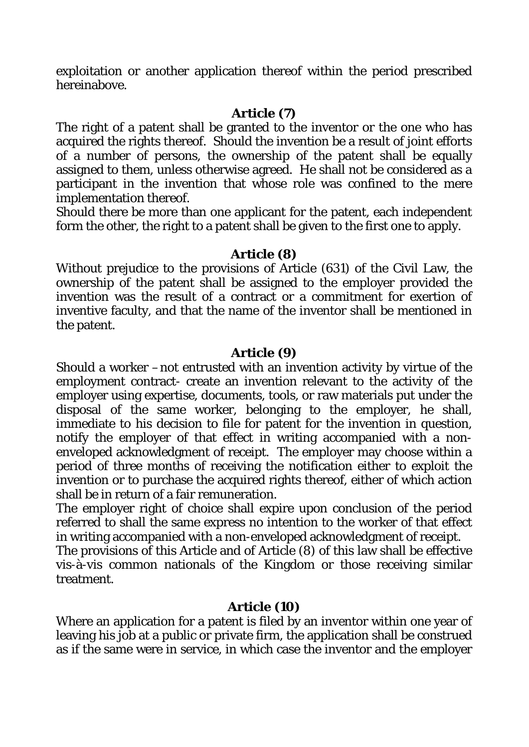exploitation or another application thereof within the period prescribed hereinabove.

## **Article (7)**

The right of a patent shall be granted to the inventor or the one who has acquired the rights thereof. Should the invention be a result of joint efforts of a number of persons, the ownership of the patent shall be equally assigned to them, unless otherwise agreed. He shall not be considered as a participant in the invention that whose role was confined to the mere implementation thereof.

Should there be more than one applicant for the patent, each independent form the other, the right to a patent shall be given to the first one to apply.

## **Article (8)**

Without prejudice to the provisions of Article (631) of the Civil Law, the ownership of the patent shall be assigned to the employer provided the invention was the result of a contract or a commitment for exertion of inventive faculty, and that the name of the inventor shall be mentioned in the patent.

## **Article (9)**

Should a worker –not entrusted with an invention activity by virtue of the employment contract- create an invention relevant to the activity of the employer using expertise, documents, tools, or raw materials put under the disposal of the same worker, belonging to the employer, he shall, immediate to his decision to file for patent for the invention in question, notify the employer of that effect in writing accompanied with a nonenveloped acknowledgment of receipt. The employer may choose within a period of three months of receiving the notification either to exploit the invention or to purchase the acquired rights thereof, either of which action shall be in return of a fair remuneration.

The employer right of choice shall expire upon conclusion of the period referred to shall the same express no intention to the worker of that effect in writing accompanied with a non-enveloped acknowledgment of receipt.

The provisions of this Article and of Article (8) of this law shall be effective vis-à-vis common nationals of the Kingdom or those receiving similar treatment.

# **Article (10)**

Where an application for a patent is filed by an inventor within one year of leaving his job at a public or private firm, the application shall be construed as if the same were in service, in which case the inventor and the employer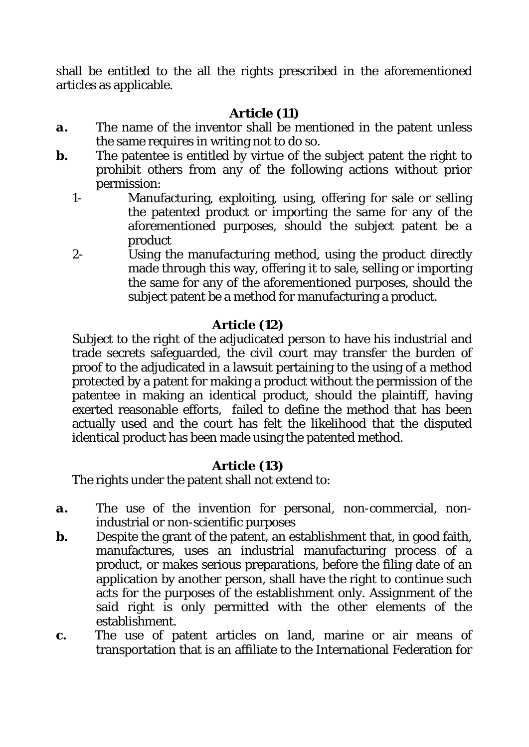shall be entitled to the all the rights prescribed in the aforementioned articles as applicable.

# **Article (11)**

- *a.* The name of the inventor shall be mentioned in the patent unless the same requires in writing not to do so.
- *b***.** The patentee is entitled by virtue of the subject patent the right to prohibit others from any of the following actions without prior permission:
	- 1- Manufacturing, exploiting, using, offering for sale or selling the patented product or importing the same for any of the aforementioned purposes, should the subject patent be a product
	- 2- Using the manufacturing method, using the product directly made through this way, offering it to sale, selling or importing the same for any of the aforementioned purposes, should the subject patent be a method for manufacturing a product.

# **Article (12)**

Subject to the right of the adjudicated person to have his industrial and trade secrets safeguarded, the civil court may transfer the burden of proof to the adjudicated in a lawsuit pertaining to the using of a method protected by a patent for making a product without the permission of the patentee in making an identical product, should the plaintiff, having exerted reasonable efforts, failed to define the method that has been actually used and the court has felt the likelihood that the disputed identical product has been made using the patented method.

# **Article (13)**

The rights under the patent shall not extend to:

- *a.* The use of the invention for personal, non-commercial, nonindustrial or non-scientific purposes
- *b.* Despite the grant of the patent, an establishment that, in good faith, manufactures, uses an industrial manufacturing process of a product, or makes serious preparations, before the filing date of an application by another person, shall have the right to continue such acts for the purposes of the establishment only. Assignment of the said right is only permitted with the other elements of the establishment.
- *c.* The use of patent articles on land, marine or air means of transportation that is an affiliate to the International Federation for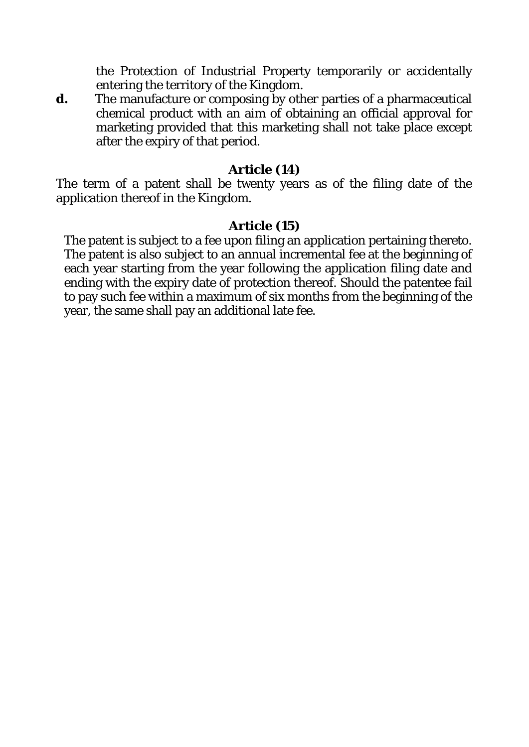the Protection of Industrial Property temporarily or accidentally entering the territory of the Kingdom.

*d.* The manufacture or composing by other parties of a pharmaceutical chemical product with an aim of obtaining an official approval for marketing provided that this marketing shall not take place except after the expiry of that period.

## **Article (14)**

The term of a patent shall be twenty years as of the filing date of the application thereof in the Kingdom.

## **Article (15)**

The patent is subject to a fee upon filing an application pertaining thereto. The patent is also subject to an annual incremental fee at the beginning of each year starting from the year following the application filing date and ending with the expiry date of protection thereof. Should the patentee fail to pay such fee within a maximum of six months from the beginning of the year, the same shall pay an additional late fee.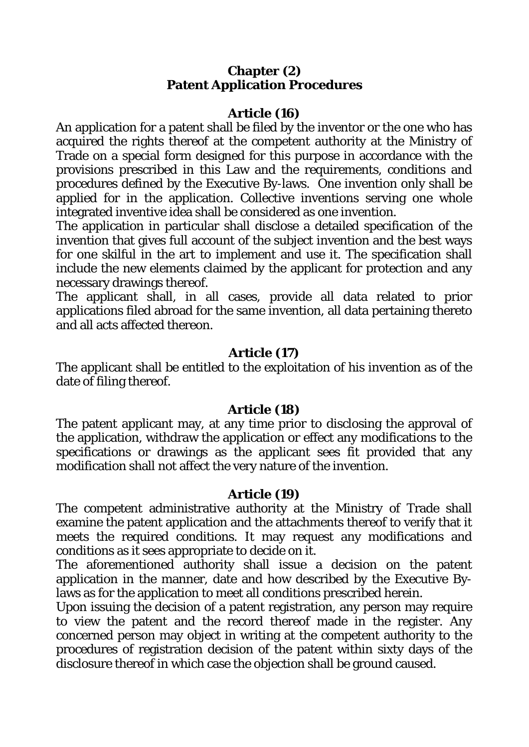## **Chapter (2) Patent Application Procedures**

## **Article (16)**

An application for a patent shall be filed by the inventor or the one who has acquired the rights thereof at the competent authority at the Ministry of Trade on a special form designed for this purpose in accordance with the provisions prescribed in this Law and the requirements, conditions and procedures defined by the Executive By-laws. One invention only shall be applied for in the application. Collective inventions serving one whole integrated inventive idea shall be considered as one invention.

The application in particular shall disclose a detailed specification of the invention that gives full account of the subject invention and the best ways for one skilful in the art to implement and use it. The specification shall include the new elements claimed by the applicant for protection and any necessary drawings thereof.

The applicant shall, in all cases, provide all data related to prior applications filed abroad for the same invention, all data pertaining thereto and all acts affected thereon.

### **Article (17)**

The applicant shall be entitled to the exploitation of his invention as of the date of filing thereof.

### **Article (18)**

The patent applicant may, at any time prior to disclosing the approval of the application, withdraw the application or effect any modifications to the specifications or drawings as the applicant sees fit provided that any modification shall not affect the very nature of the invention.

### **Article (19)**

The competent administrative authority at the Ministry of Trade shall examine the patent application and the attachments thereof to verify that it meets the required conditions. It may request any modifications and conditions as it sees appropriate to decide on it.

The aforementioned authority shall issue a decision on the patent application in the manner, date and how described by the Executive Bylaws as for the application to meet all conditions prescribed herein.

Upon issuing the decision of a patent registration, any person may require to view the patent and the record thereof made in the register. Any concerned person may object in writing at the competent authority to the procedures of registration decision of the patent within sixty days of the disclosure thereof in which case the objection shall be ground caused.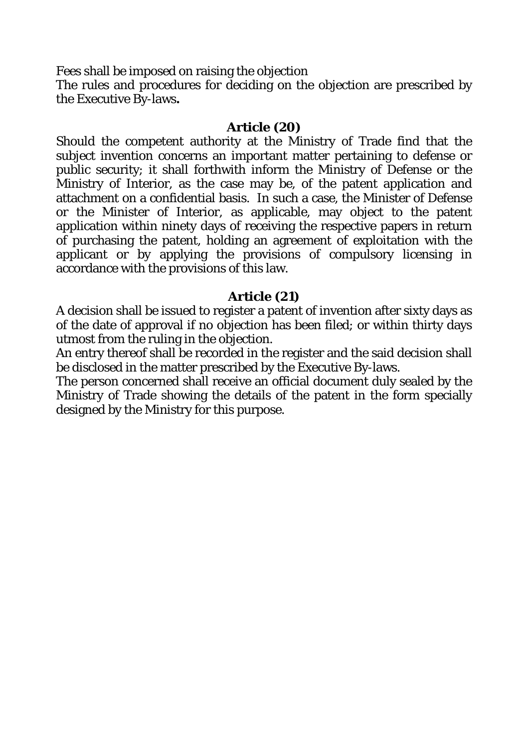Fees shall be imposed on raising the objection

The rules and procedures for deciding on the objection are prescribed by the Executive By-laws**.** 

## **Article (20)**

Should the competent authority at the Ministry of Trade find that the subject invention concerns an important matter pertaining to defense or public security; it shall forthwith inform the Ministry of Defense or the Ministry of Interior, as the case may be, of the patent application and attachment on a confidential basis. In such a case, the Minister of Defense or the Minister of Interior, as applicable, may object to the patent application within ninety days of receiving the respective papers in return of purchasing the patent, holding an agreement of exploitation with the applicant or by applying the provisions of compulsory licensing in accordance with the provisions of this law.

# **Article (21)**

A decision shall be issued to register a patent of invention after sixty days as of the date of approval if no objection has been filed; or within thirty days utmost from the ruling in the objection.

An entry thereof shall be recorded in the register and the said decision shall be disclosed in the matter prescribed by the Executive By-laws.

The person concerned shall receive an official document duly sealed by the Ministry of Trade showing the details of the patent in the form specially designed by the Ministry for this purpose.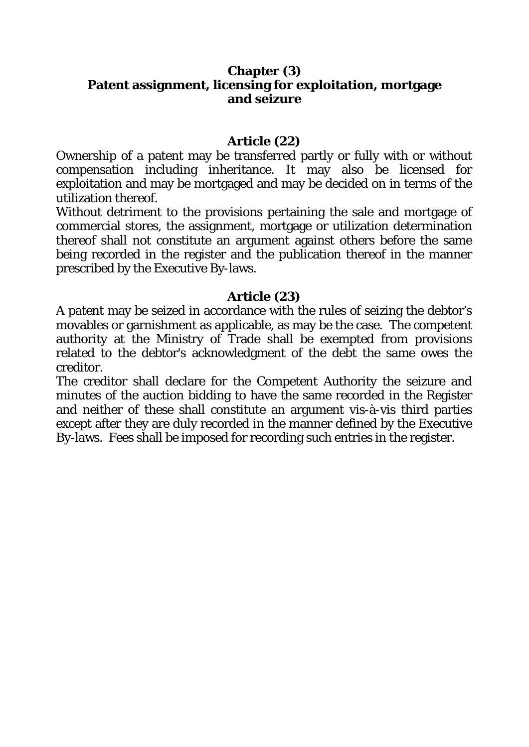## **Chapter (3) Patent assignment, licensing for exploitation, mortgage and seizure**

## **Article (22)**

Ownership of a patent may be transferred partly or fully with or without compensation including inheritance. It may also be licensed for exploitation and may be mortgaged and may be decided on in terms of the utilization thereof.

Without detriment to the provisions pertaining the sale and mortgage of commercial stores, the assignment, mortgage or utilization determination thereof shall not constitute an argument against others before the same being recorded in the register and the publication thereof in the manner prescribed by the Executive By-laws.

# **Article (23)**

A patent may be seized in accordance with the rules of seizing the debtor's movables or garnishment as applicable, as may be the case. The competent authority at the Ministry of Trade shall be exempted from provisions related to the debtor's acknowledgment of the debt the same owes the creditor.

The creditor shall declare for the Competent Authority the seizure and minutes of the auction bidding to have the same recorded in the Register and neither of these shall constitute an argument vis-à-vis third parties except after they are duly recorded in the manner defined by the Executive By-laws. Fees shall be imposed for recording such entries in the register.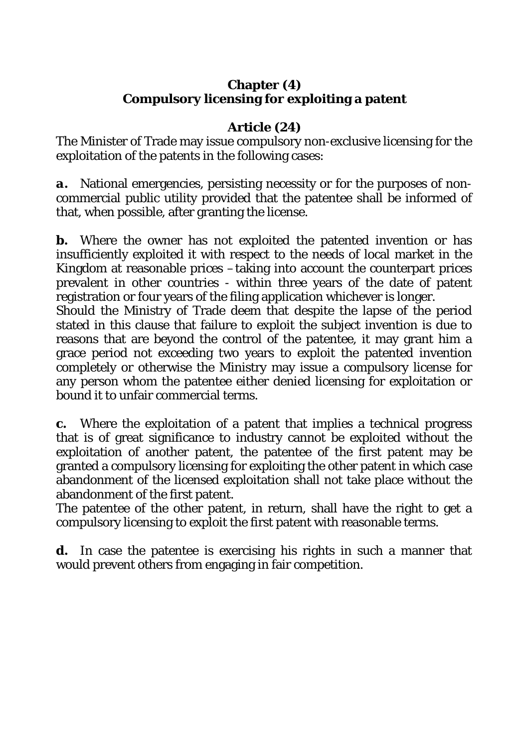# **Chapter (4) Compulsory licensing for exploiting a patent**

# **Article (24)**

The Minister of Trade may issue compulsory non-exclusive licensing for the exploitation of the patents in the following cases:

*a.* National emergencies, persisting necessity or for the purposes of noncommercial public utility provided that the patentee shall be informed of that, when possible, after granting the license.

*b*. Where the owner has not exploited the patented invention or has insufficiently exploited it with respect to the needs of local market in the Kingdom at reasonable prices –taking into account the counterpart prices prevalent in other countries - within three years of the date of patent registration or four years of the filing application whichever is longer.

Should the Ministry of Trade deem that despite the lapse of the period stated in this clause that failure to exploit the subject invention is due to reasons that are beyond the control of the patentee, it may grant him a grace period not exceeding two years to exploit the patented invention completely or otherwise the Ministry may issue a compulsory license for any person whom the patentee either denied licensing for exploitation or bound it to unfair commercial terms.

*c.* Where the exploitation of a patent that implies a technical progress that is of great significance to industry cannot be exploited without the exploitation of another patent, the patentee of the first patent may be granted a compulsory licensing for exploiting the other patent in which case abandonment of the licensed exploitation shall not take place without the abandonment of the first patent.

The patentee of the other patent, in return, shall have the right to get a compulsory licensing to exploit the first patent with reasonable terms.

*d.* In case the patentee is exercising his rights in such a manner that would prevent others from engaging in fair competition.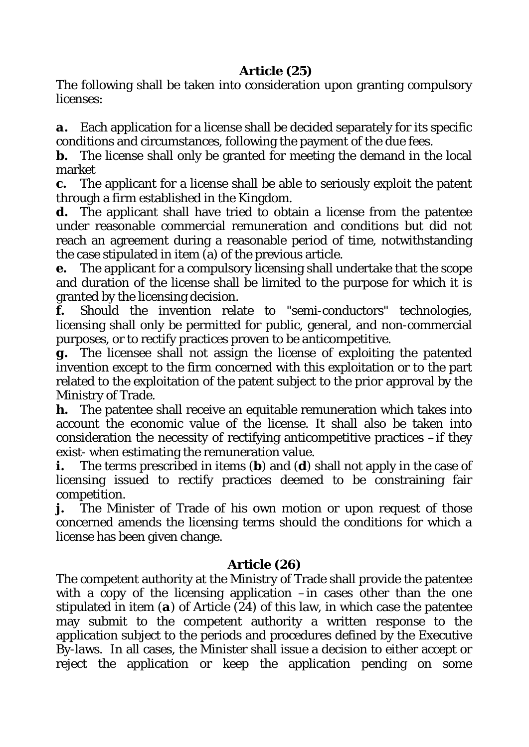# **Article (25)**

The following shall be taken into consideration upon granting compulsory licenses:

*a.* Each application for a license shall be decided separately for its specific conditions and circumstances, following the payment of the due fees.

*b*. The license shall only be granted for meeting the demand in the local market

*c.* The applicant for a license shall be able to seriously exploit the patent through a firm established in the Kingdom.

*d*. The applicant shall have tried to obtain a license from the patentee under reasonable commercial remuneration and conditions but did not reach an agreement during a reasonable period of time, notwithstanding the case stipulated in item (a) of the previous article.

*e.* The applicant for a compulsory licensing shall undertake that the scope and duration of the license shall be limited to the purpose for which it is granted by the licensing decision.

*f.* Should the invention relate to "semi-conductors" technologies, licensing shall only be permitted for public, general, and non-commercial purposes, or to rectify practices proven to be anticompetitive.

*g.* The licensee shall not assign the license of exploiting the patented invention except to the firm concerned with this exploitation or to the part related to the exploitation of the patent subject to the prior approval by the Ministry of Trade.

*h.* The patentee shall receive an equitable remuneration which takes into account the economic value of the license. It shall also be taken into consideration the necessity of rectifying anticompetitive practices –if they exist- when estimating the remuneration value.

*i.* The terms prescribed in items (*b*) and (*d*) shall not apply in the case of licensing issued to rectify practices deemed to be constraining fair competition.

*j.* The Minister of Trade of his own motion or upon request of those concerned amends the licensing terms should the conditions for which a license has been given change.

# **Article (26)**

The competent authority at the Ministry of Trade shall provide the patentee with a copy of the licensing application –in cases other than the one stipulated in item (*a*) of Article (24) of this law, in which case the patentee may submit to the competent authority a written response to the application subject to the periods and procedures defined by the Executive By-laws. In all cases, the Minister shall issue a decision to either accept or reject the application or keep the application pending on some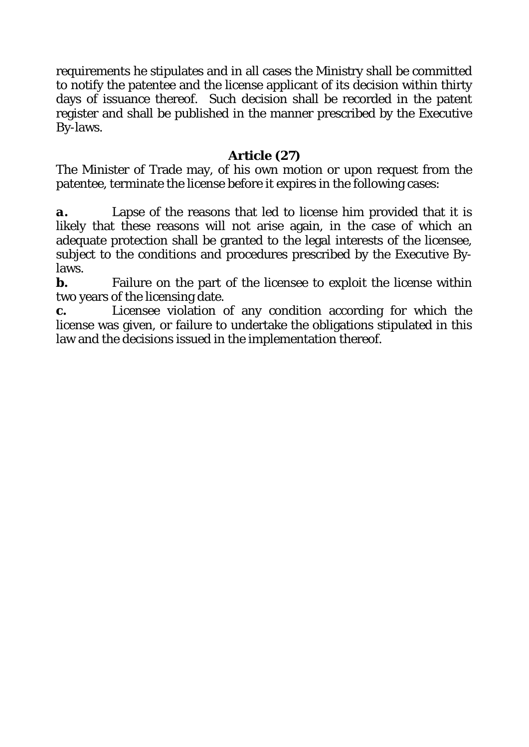requirements he stipulates and in all cases the Ministry shall be committed to notify the patentee and the license applicant of its decision within thirty days of issuance thereof. Such decision shall be recorded in the patent register and shall be published in the manner prescribed by the Executive By-laws.

# **Article (27)**

The Minister of Trade may, of his own motion or upon request from the patentee, terminate the license before it expires in the following cases:

*a.* Lapse of the reasons that led to license him provided that it is likely that these reasons will not arise again, in the case of which an adequate protection shall be granted to the legal interests of the licensee, subject to the conditions and procedures prescribed by the Executive Bylaws.

*b*. Failure on the part of the licensee to exploit the license within two years of the licensing date.

*c.* Licensee violation of any condition according for which the license was given, or failure to undertake the obligations stipulated in this law and the decisions issued in the implementation thereof.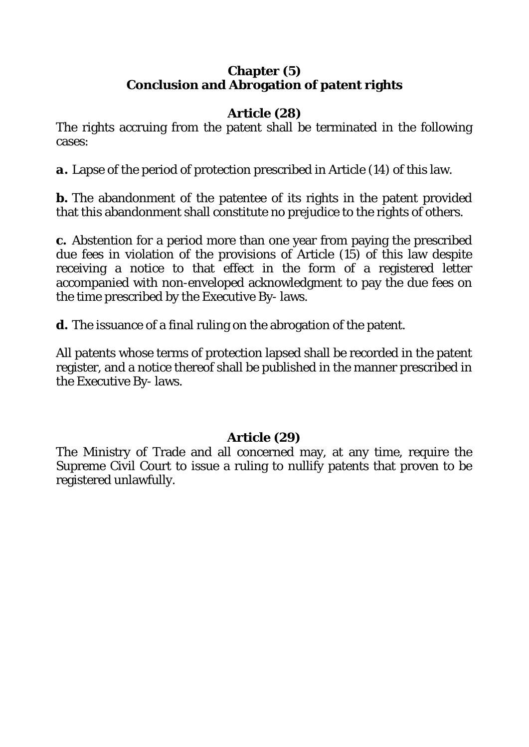# **Chapter (5) Conclusion and Abrogation of patent rights**

# **Article (28)**

The rights accruing from the patent shall be terminated in the following cases:

*a.* Lapse of the period of protection prescribed in Article (14) of this law.

*b*. The abandonment of the patentee of its rights in the patent provided that this abandonment shall constitute no prejudice to the rights of others.

*c.* Abstention for a period more than one year from paying the prescribed due fees in violation of the provisions of Article (15) of this law despite receiving a notice to that effect in the form of a registered letter accompanied with non-enveloped acknowledgment to pay the due fees on the time prescribed by the Executive By- laws.

d. The issuance of a final ruling on the abrogation of the patent.

All patents whose terms of protection lapsed shall be recorded in the patent register, and a notice thereof shall be published in the manner prescribed in the Executive By- laws.

# **Article (29)**

The Ministry of Trade and all concerned may, at any time, require the Supreme Civil Court to issue a ruling to nullify patents that proven to be registered unlawfully.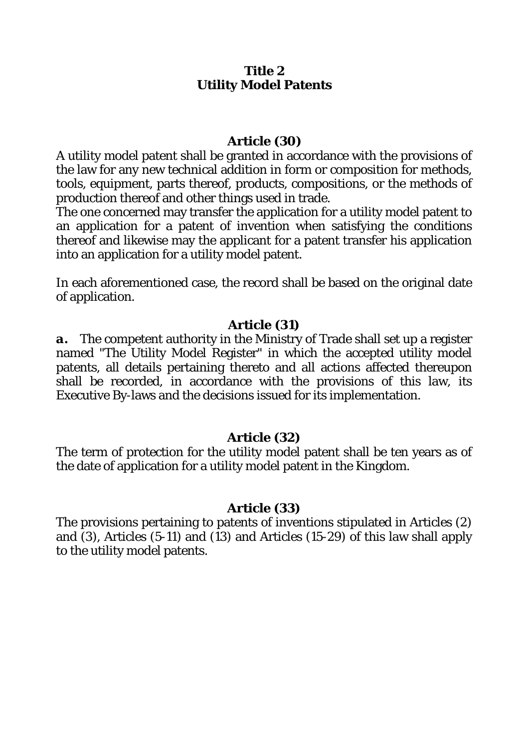## **Title 2 Utility Model Patents**

### **Article (30)**

A utility model patent shall be granted in accordance with the provisions of the law for any new technical addition in form or composition for methods, tools, equipment, parts thereof, products, compositions, or the methods of production thereof and other things used in trade.

The one concerned may transfer the application for a utility model patent to an application for a patent of invention when satisfying the conditions thereof and likewise may the applicant for a patent transfer his application into an application for a utility model patent.

In each aforementioned case, the record shall be based on the original date of application.

## **Article (31)**

*a.* The competent authority in the Ministry of Trade shall set up a register named "The Utility Model Register" in which the accepted utility model patents, all details pertaining thereto and all actions affected thereupon shall be recorded, in accordance with the provisions of this law, its Executive By-laws and the decisions issued for its implementation.

## **Article (32)**

The term of protection for the utility model patent shall be ten years as of the date of application for a utility model patent in the Kingdom.

### **Article (33)**

The provisions pertaining to patents of inventions stipulated in Articles (2) and (3), Articles (5-11) and (13) and Articles (15-29) of this law shall apply to the utility model patents.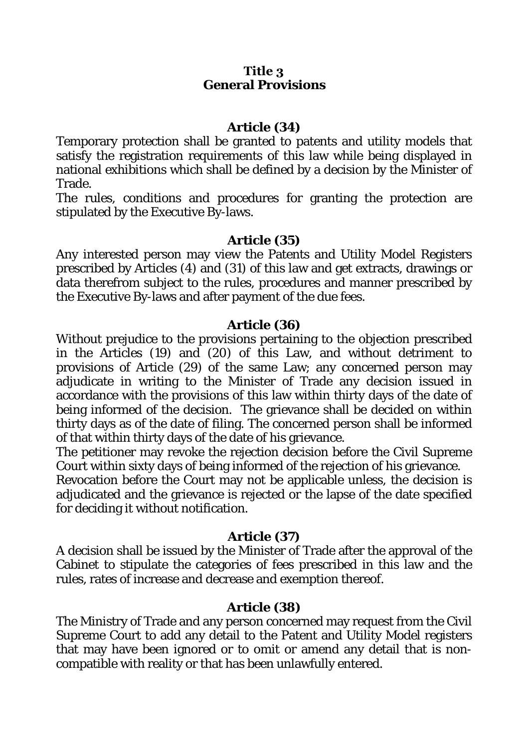### **Title 3 General Provisions**

### **Article (34)**

Temporary protection shall be granted to patents and utility models that satisfy the registration requirements of this law while being displayed in national exhibitions which shall be defined by a decision by the Minister of Trade.

The rules, conditions and procedures for granting the protection are stipulated by the Executive By-laws.

### **Article (35)**

Any interested person may view the Patents and Utility Model Registers prescribed by Articles (4) and (31) of this law and get extracts, drawings or data therefrom subject to the rules, procedures and manner prescribed by the Executive By-laws and after payment of the due fees.

### **Article (36)**

Without prejudice to the provisions pertaining to the objection prescribed in the Articles (19) and (20) of this Law, and without detriment to provisions of Article (29) of the same Law; any concerned person may adjudicate in writing to the Minister of Trade any decision issued in accordance with the provisions of this law within thirty days of the date of being informed of the decision. The grievance shall be decided on within thirty days as of the date of filing. The concerned person shall be informed of that within thirty days of the date of his grievance.

The petitioner may revoke the rejection decision before the Civil Supreme Court within sixty days of being informed of the rejection of his grievance.

Revocation before the Court may not be applicable unless, the decision is adjudicated and the grievance is rejected or the lapse of the date specified for deciding it without notification.

### **Article (37)**

A decision shall be issued by the Minister of Trade after the approval of the Cabinet to stipulate the categories of fees prescribed in this law and the rules, rates of increase and decrease and exemption thereof.

## **Article (38)**

The Ministry of Trade and any person concerned may request from the Civil Supreme Court to add any detail to the Patent and Utility Model registers that may have been ignored or to omit or amend any detail that is noncompatible with reality or that has been unlawfully entered.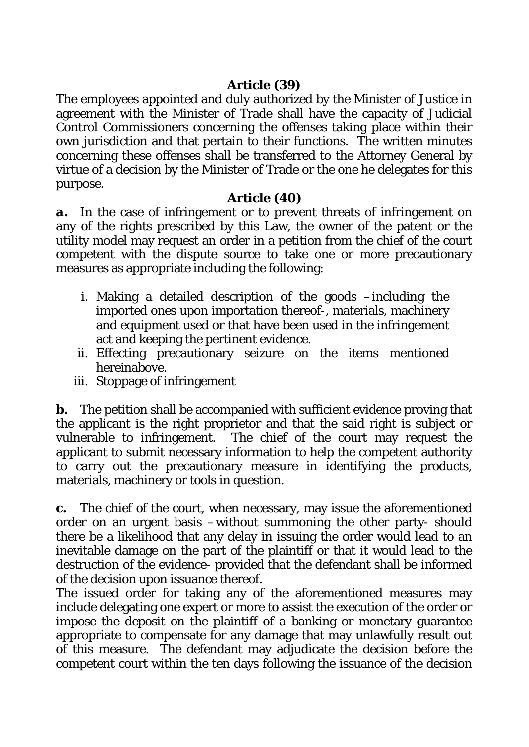# **Article (39)**

The employees appointed and duly authorized by the Minister of Justice in agreement with the Minister of Trade shall have the capacity of Judicial Control Commissioners concerning the offenses taking place within their own jurisdiction and that pertain to their functions. The written minutes concerning these offenses shall be transferred to the Attorney General by virtue of a decision by the Minister of Trade or the one he delegates for this purpose.

# **Article (40)**

*a.* In the case of infringement or to prevent threats of infringement on any of the rights prescribed by this Law, the owner of the patent or the utility model may request an order in a petition from the chief of the court competent with the dispute source to take one or more precautionary measures as appropriate including the following:

- i. Making a detailed description of the goods –including the imported ones upon importation thereof-, materials, machinery and equipment used or that have been used in the infringement act and keeping the pertinent evidence.
- ii. Effecting precautionary seizure on the items mentioned hereinabove.
- iii. Stoppage of infringement

*b*. The petition shall be accompanied with sufficient evidence proving that the applicant is the right proprietor and that the said right is subject or vulnerable to infringement. The chief of the court may request the applicant to submit necessary information to help the competent authority to carry out the precautionary measure in identifying the products, materials, machinery or tools in question.

*c.* The chief of the court, when necessary, may issue the aforementioned order on an urgent basis –without summoning the other party- should there be a likelihood that any delay in issuing the order would lead to an inevitable damage on the part of the plaintiff or that it would lead to the destruction of the evidence- provided that the defendant shall be informed of the decision upon issuance thereof.

The issued order for taking any of the aforementioned measures may include delegating one expert or more to assist the execution of the order or impose the deposit on the plaintiff of a banking or monetary guarantee appropriate to compensate for any damage that may unlawfully result out of this measure. The defendant may adjudicate the decision before the competent court within the ten days following the issuance of the decision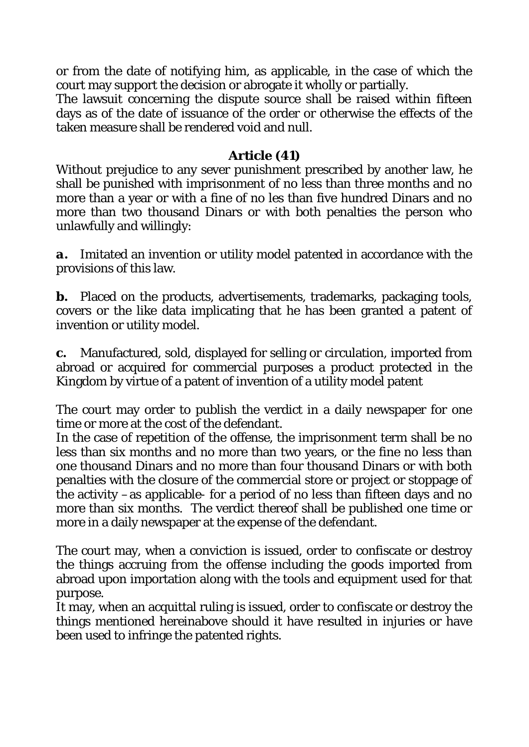or from the date of notifying him, as applicable, in the case of which the court may support the decision or abrogate it wholly or partially.

The lawsuit concerning the dispute source shall be raised within fifteen days as of the date of issuance of the order or otherwise the effects of the taken measure shall be rendered void and null.

## **Article (41)**

Without prejudice to any sever punishment prescribed by another law, he shall be punished with imprisonment of no less than three months and no more than a year or with a fine of no les than five hundred Dinars and no more than two thousand Dinars or with both penalties the person who unlawfully and willingly:

*a.* Imitated an invention or utility model patented in accordance with the provisions of this law.

*b.* Placed on the products, advertisements, trademarks, packaging tools, covers or the like data implicating that he has been granted a patent of invention or utility model.

*c.* Manufactured, sold, displayed for selling or circulation, imported from abroad or acquired for commercial purposes a product protected in the Kingdom by virtue of a patent of invention of a utility model patent

The court may order to publish the verdict in a daily newspaper for one time or more at the cost of the defendant.

In the case of repetition of the offense, the imprisonment term shall be no less than six months and no more than two years, or the fine no less than one thousand Dinars and no more than four thousand Dinars or with both penalties with the closure of the commercial store or project or stoppage of the activity –as applicable- for a period of no less than fifteen days and no more than six months. The verdict thereof shall be published one time or more in a daily newspaper at the expense of the defendant.

The court may, when a conviction is issued, order to confiscate or destroy the things accruing from the offense including the goods imported from abroad upon importation along with the tools and equipment used for that purpose.

It may, when an acquittal ruling is issued, order to confiscate or destroy the things mentioned hereinabove should it have resulted in injuries or have been used to infringe the patented rights.